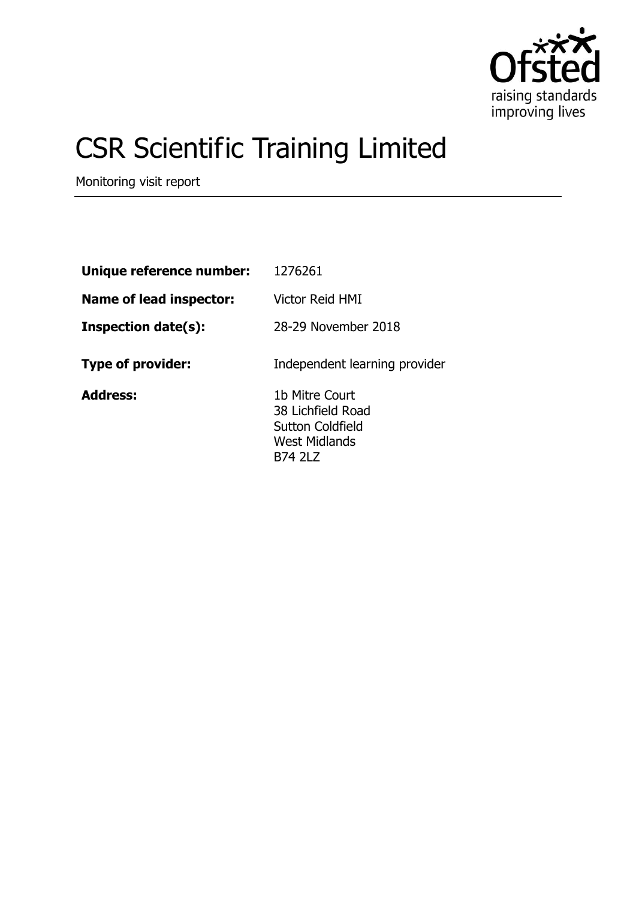

# CSR Scientific Training Limited

Monitoring visit report

| Unique reference number:       | 1276261                                                                                           |
|--------------------------------|---------------------------------------------------------------------------------------------------|
| <b>Name of lead inspector:</b> | <b>Victor Reid HMI</b>                                                                            |
| <b>Inspection date(s):</b>     | 28-29 November 2018                                                                               |
| <b>Type of provider:</b>       | Independent learning provider                                                                     |
| <b>Address:</b>                | 1b Mitre Court<br>38 Lichfield Road<br>Sutton Coldfield<br><b>West Midlands</b><br><b>B74 2LZ</b> |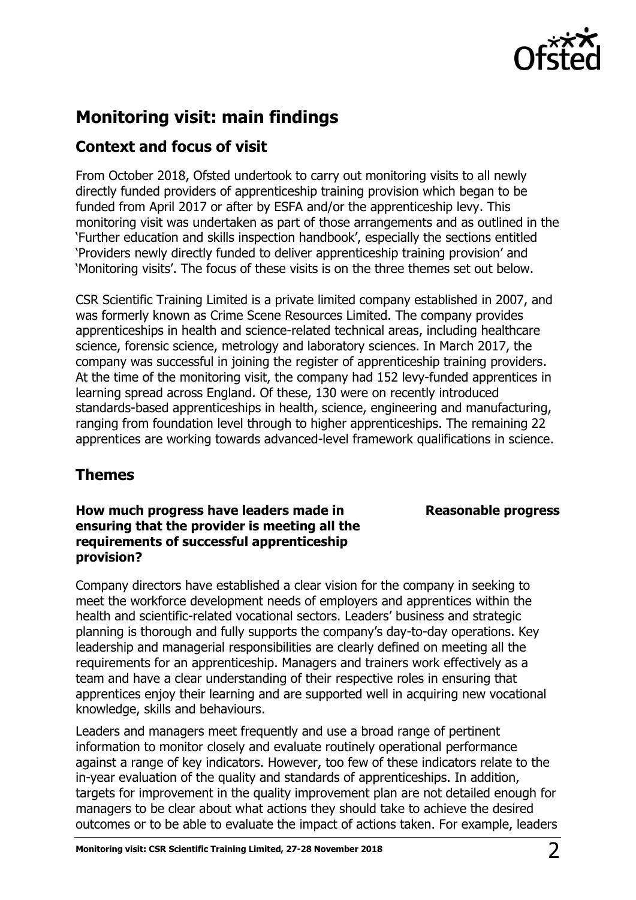

# **Monitoring visit: main findings**

## **Context and focus of visit**

From October 2018, Ofsted undertook to carry out monitoring visits to all newly directly funded providers of apprenticeship training provision which began to be funded from April 2017 or after by ESFA and/or the apprenticeship levy. This monitoring visit was undertaken as part of those arrangements and as outlined in the 'Further education and skills inspection handbook', especially the sections entitled 'Providers newly directly funded to deliver apprenticeship training provision' and 'Monitoring visits'. The focus of these visits is on the three themes set out below.

CSR Scientific Training Limited is a private limited company established in 2007, and was formerly known as Crime Scene Resources Limited. The company provides apprenticeships in health and science-related technical areas, including healthcare science, forensic science, metrology and laboratory sciences. In March 2017, the company was successful in joining the register of apprenticeship training providers. At the time of the monitoring visit, the company had 152 levy-funded apprentices in learning spread across England. Of these, 130 were on recently introduced standards-based apprenticeships in health, science, engineering and manufacturing, ranging from foundation level through to higher apprenticeships. The remaining 22 apprentices are working towards advanced-level framework qualifications in science.

## **Themes**

## **How much progress have leaders made in ensuring that the provider is meeting all the requirements of successful apprenticeship provision?**

#### Company directors have established a clear vision for the company in seeking to meet the workforce development needs of employers and apprentices within the health and scientific-related vocational sectors. Leaders' business and strategic planning is thorough and fully supports the company's day-to-day operations. Key leadership and managerial responsibilities are clearly defined on meeting all the requirements for an apprenticeship. Managers and trainers work effectively as a team and have a clear understanding of their respective roles in ensuring that apprentices enjoy their learning and are supported well in acquiring new vocational knowledge, skills and behaviours.

Leaders and managers meet frequently and use a broad range of pertinent information to monitor closely and evaluate routinely operational performance against a range of key indicators. However, too few of these indicators relate to the in-year evaluation of the quality and standards of apprenticeships. In addition, targets for improvement in the quality improvement plan are not detailed enough for managers to be clear about what actions they should take to achieve the desired outcomes or to be able to evaluate the impact of actions taken. For example, leaders

## **Reasonable progress**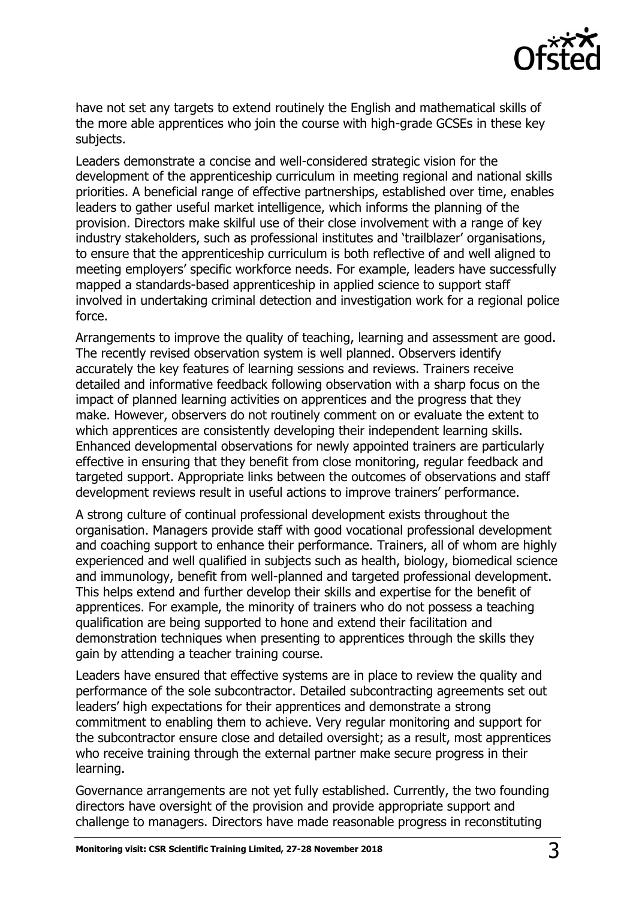

have not set any targets to extend routinely the English and mathematical skills of the more able apprentices who join the course with high-grade GCSEs in these key subjects.

Leaders demonstrate a concise and well-considered strategic vision for the development of the apprenticeship curriculum in meeting regional and national skills priorities. A beneficial range of effective partnerships, established over time, enables leaders to gather useful market intelligence, which informs the planning of the provision. Directors make skilful use of their close involvement with a range of key industry stakeholders, such as professional institutes and 'trailblazer' organisations, to ensure that the apprenticeship curriculum is both reflective of and well aligned to meeting employers' specific workforce needs. For example, leaders have successfully mapped a standards-based apprenticeship in applied science to support staff involved in undertaking criminal detection and investigation work for a regional police force.

Arrangements to improve the quality of teaching, learning and assessment are good. The recently revised observation system is well planned. Observers identify accurately the key features of learning sessions and reviews. Trainers receive detailed and informative feedback following observation with a sharp focus on the impact of planned learning activities on apprentices and the progress that they make. However, observers do not routinely comment on or evaluate the extent to which apprentices are consistently developing their independent learning skills. Enhanced developmental observations for newly appointed trainers are particularly effective in ensuring that they benefit from close monitoring, regular feedback and targeted support. Appropriate links between the outcomes of observations and staff development reviews result in useful actions to improve trainers' performance.

A strong culture of continual professional development exists throughout the organisation. Managers provide staff with good vocational professional development and coaching support to enhance their performance. Trainers, all of whom are highly experienced and well qualified in subjects such as health, biology, biomedical science and immunology, benefit from well-planned and targeted professional development. This helps extend and further develop their skills and expertise for the benefit of apprentices. For example, the minority of trainers who do not possess a teaching qualification are being supported to hone and extend their facilitation and demonstration techniques when presenting to apprentices through the skills they gain by attending a teacher training course.

Leaders have ensured that effective systems are in place to review the quality and performance of the sole subcontractor. Detailed subcontracting agreements set out leaders' high expectations for their apprentices and demonstrate a strong commitment to enabling them to achieve. Very regular monitoring and support for the subcontractor ensure close and detailed oversight; as a result, most apprentices who receive training through the external partner make secure progress in their learning.

Governance arrangements are not yet fully established. Currently, the two founding directors have oversight of the provision and provide appropriate support and challenge to managers. Directors have made reasonable progress in reconstituting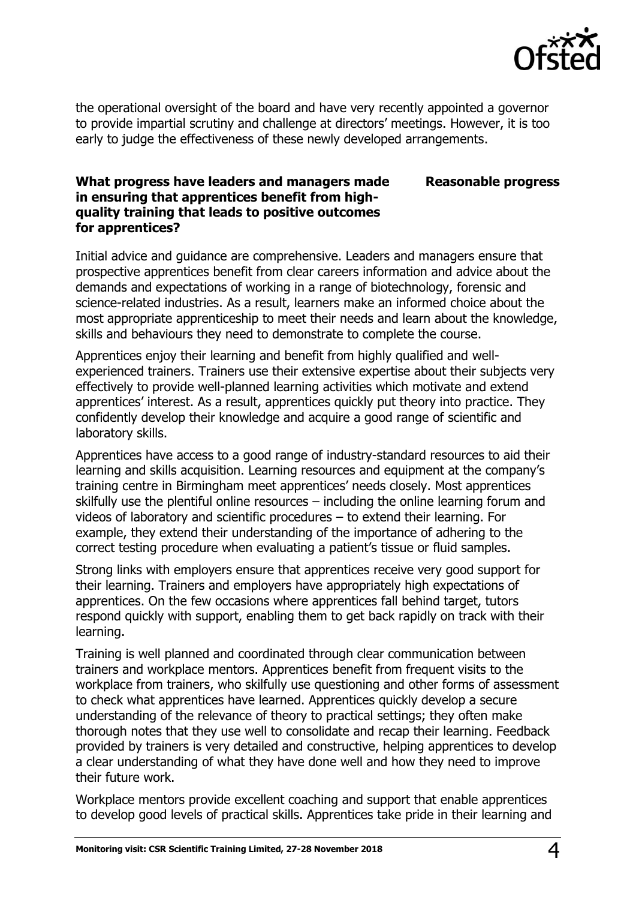

**Reasonable progress**

the operational oversight of the board and have very recently appointed a governor to provide impartial scrutiny and challenge at directors' meetings. However, it is too early to judge the effectiveness of these newly developed arrangements.

#### **What progress have leaders and managers made in ensuring that apprentices benefit from highquality training that leads to positive outcomes for apprentices?**

Initial advice and guidance are comprehensive. Leaders and managers ensure that prospective apprentices benefit from clear careers information and advice about the demands and expectations of working in a range of biotechnology, forensic and science-related industries. As a result, learners make an informed choice about the most appropriate apprenticeship to meet their needs and learn about the knowledge, skills and behaviours they need to demonstrate to complete the course.

Apprentices enjoy their learning and benefit from highly qualified and wellexperienced trainers. Trainers use their extensive expertise about their subjects very effectively to provide well-planned learning activities which motivate and extend apprentices' interest. As a result, apprentices quickly put theory into practice. They confidently develop their knowledge and acquire a good range of scientific and laboratory skills.

Apprentices have access to a good range of industry-standard resources to aid their learning and skills acquisition. Learning resources and equipment at the company's training centre in Birmingham meet apprentices' needs closely. Most apprentices skilfully use the plentiful online resources – including the online learning forum and videos of laboratory and scientific procedures – to extend their learning. For example, they extend their understanding of the importance of adhering to the correct testing procedure when evaluating a patient's tissue or fluid samples.

Strong links with employers ensure that apprentices receive very good support for their learning. Trainers and employers have appropriately high expectations of apprentices. On the few occasions where apprentices fall behind target, tutors respond quickly with support, enabling them to get back rapidly on track with their learning.

Training is well planned and coordinated through clear communication between trainers and workplace mentors. Apprentices benefit from frequent visits to the workplace from trainers, who skilfully use questioning and other forms of assessment to check what apprentices have learned. Apprentices quickly develop a secure understanding of the relevance of theory to practical settings; they often make thorough notes that they use well to consolidate and recap their learning. Feedback provided by trainers is very detailed and constructive, helping apprentices to develop a clear understanding of what they have done well and how they need to improve their future work.

Workplace mentors provide excellent coaching and support that enable apprentices to develop good levels of practical skills. Apprentices take pride in their learning and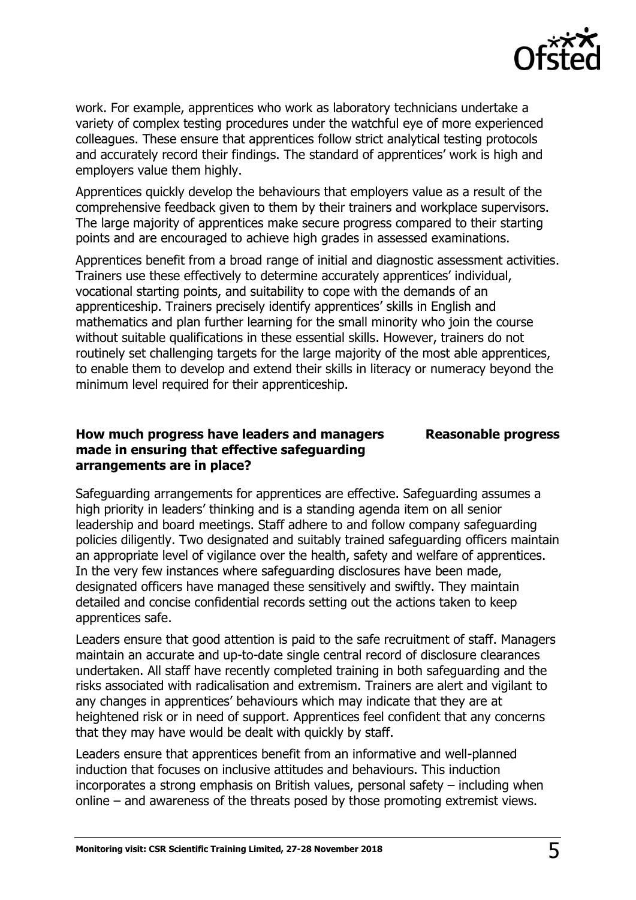

work. For example, apprentices who work as laboratory technicians undertake a variety of complex testing procedures under the watchful eye of more experienced colleagues. These ensure that apprentices follow strict analytical testing protocols and accurately record their findings. The standard of apprentices' work is high and employers value them highly.

Apprentices quickly develop the behaviours that employers value as a result of the comprehensive feedback given to them by their trainers and workplace supervisors. The large majority of apprentices make secure progress compared to their starting points and are encouraged to achieve high grades in assessed examinations.

Apprentices benefit from a broad range of initial and diagnostic assessment activities. Trainers use these effectively to determine accurately apprentices' individual, vocational starting points, and suitability to cope with the demands of an apprenticeship. Trainers precisely identify apprentices' skills in English and mathematics and plan further learning for the small minority who join the course without suitable qualifications in these essential skills. However, trainers do not routinely set challenging targets for the large majority of the most able apprentices, to enable them to develop and extend their skills in literacy or numeracy beyond the minimum level required for their apprenticeship.

#### **How much progress have leaders and managers made in ensuring that effective safeguarding arrangements are in place?**

**Reasonable progress**

Safeguarding arrangements for apprentices are effective. Safeguarding assumes a high priority in leaders' thinking and is a standing agenda item on all senior leadership and board meetings. Staff adhere to and follow company safeguarding policies diligently. Two designated and suitably trained safeguarding officers maintain an appropriate level of vigilance over the health, safety and welfare of apprentices. In the very few instances where safeguarding disclosures have been made, designated officers have managed these sensitively and swiftly. They maintain detailed and concise confidential records setting out the actions taken to keep apprentices safe.

Leaders ensure that good attention is paid to the safe recruitment of staff. Managers maintain an accurate and up-to-date single central record of disclosure clearances undertaken. All staff have recently completed training in both safeguarding and the risks associated with radicalisation and extremism. Trainers are alert and vigilant to any changes in apprentices' behaviours which may indicate that they are at heightened risk or in need of support. Apprentices feel confident that any concerns that they may have would be dealt with quickly by staff.

Leaders ensure that apprentices benefit from an informative and well-planned induction that focuses on inclusive attitudes and behaviours. This induction incorporates a strong emphasis on British values, personal safety – including when online – and awareness of the threats posed by those promoting extremist views.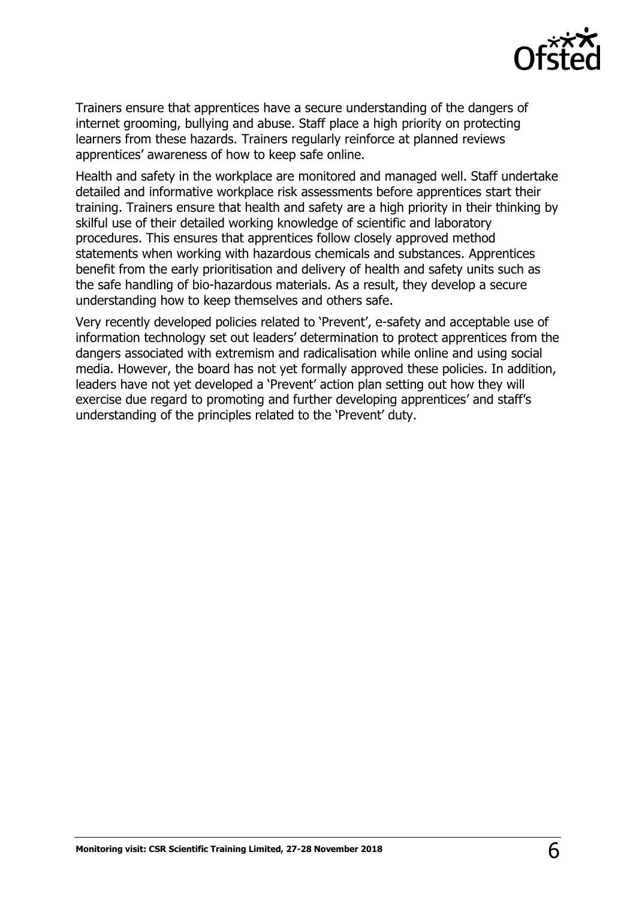

Trainers ensure that apprentices have a secure understanding of the dangers of internet grooming, bullying and abuse. Staff place a high priority on protecting learners from these hazards. Trainers regularly reinforce at planned reviews apprentices' awareness of how to keep safe online.

Health and safety in the workplace are monitored and managed well. Staff undertake detailed and informative workplace risk assessments before apprentices start their training. Trainers ensure that health and safety are a high priority in their thinking by skilful use of their detailed working knowledge of scientific and laboratory procedures. This ensures that apprentices follow closely approved method statements when working with hazardous chemicals and substances. Apprentices benefit from the early prioritisation and delivery of health and safety units such as the safe handling of bio-hazardous materials. As a result, they develop a secure understanding how to keep themselves and others safe.

Very recently developed policies related to 'Prevent', e-safety and acceptable use of information technology set out leaders' determination to protect apprentices from the dangers associated with extremism and radicalisation while online and using social media. However, the board has not yet formally approved these policies. In addition, leaders have not yet developed a 'Prevent' action plan setting out how they will exercise due regard to promoting and further developing apprentices' and staff's understanding of the principles related to the 'Prevent' duty.